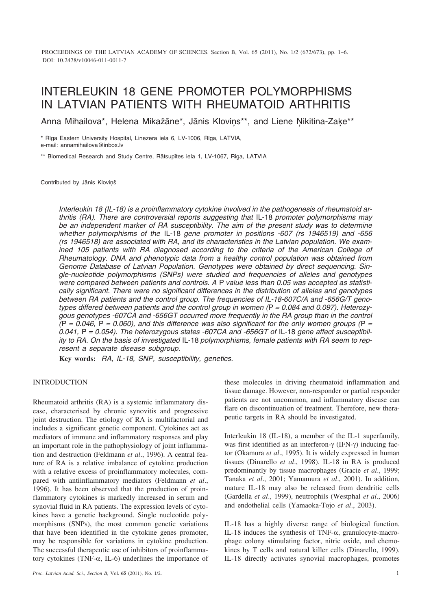# INTERLEUKIN 18 GENE PROMOTER POLYMORPHISMS IN LATVIAN PATIENTS WITH RHEUMATOID ARTHRITIS

Anna Mihailova\*, Helena Mikažāne\*, Jānis Kloviņs\*\*, and Liene Ņikitina-Zaķe\*\*

\* Rîga Eastern University Hospital, Linezera iela 6, LV-1006, Rîga, LATVIA, e-mail: annamihailova@inbox.lv

\*\* Biomedical Research and Study Centre, Râtsupîtes iela 1, LV-1067, Rîga, LATVIA

Contributed by Jānis Kloviņš

*Interleukin 18 (IL-18) is a proinflammatory cytokine involved in the pathogenesis of rheumatoid arthritis (RA). There are controversial reports suggesting that* IL-18 *promoter polymorphisms may be an independent marker of RA susceptibility. The aim of the present study was to determine whether polymorphisms of the* IL-18 *gene promoter in positions -607 (rs 1946519) and -656 (rs 1946518) are associated with RA, and its characteristics in the Latvian population. We examined 105 patients with RA diagnosed according to the criteria of the American College of Rheumatology. DNA and phenotypic data from a healthy control population was obtained from Genome Database of Latvian Population. Genotypes were obtained by direct sequencing. Single-nucleotide polymorphisms (SNPs) were studied and frequencies of alleles and genotypes were compared between patients and controls. A* P *value less than 0.05 was accepted as statistically significant. There were no significant differences in the distribution of alleles and genotypes between RA patients and the control group. The frequencies of IL-18-607C/A and -656G/T genotypes differed between patients and the control group in women (*P *= 0.084 and 0.097). Heterozygous genotypes -607CA and -656GT occurred more frequently in the RA group than in the control (*P *= 0.046,* P *= 0.060), and this difference was also significant for the only women groups (*P *= 0.041,* P *= 0.054). The heterozygous states -607CA and -656GT of* IL-18 *gene affect susceptibility to RA. On the basis of investigated* IL-18 *polymorphisms, female patients with RA seem to represent a separate disease subgroup.*

**Key words:** *RA, IL-18, SNP, susceptibility, genetics.*

## INTRODUCTION

Rheumatoid arthritis (RA) is a systemic inflammatory disease, characterised by chronic synovitis and progressive joint destruction. The etiology of RA is multifactorial and includes a significant genetic component. Cytokines act as mediators of immune and inflammatory responses and play an important role in the pathophysiology of joint inflammation and destruction (Feldmann *et al*., 1996). A central feature of RA is a relative imbalance of cytokine production with a relative excess of proinflammatory molecules, compared with antiinflammatory mediators (Feldmann *et al*., 1996). It has been observed that the production of proinflammatory cytokines is markedly increased in serum and synovial fluid in RA patients. The expression levels of cytokines have a genetic background. Single nucleotide polymorphisms (SNPs), the most common genetic variations that have been identified in the cytokine genes promoter, may be responsible for variations in cytokine production. The successful therapeutic use of inhibitors of proinflammatory cytokines (TNF- $\alpha$ , IL-6) underlines the importance of

these molecules in driving rheumatoid inflammation and tissue damage. However, non-responder or partial responder patients are not uncommon, and inflammatory disease can flare on discontinuation of treatment. Therefore, new therapeutic targets in RA should be investigated.

Interleukin 18 (IL-18), a member of the IL-1 superfamily, was first identified as an interferon- $\gamma$  (IFN- $\gamma$ ) inducing factor (Okamura *et al*., 1995). It is widely expressed in human tissues (Dinarello *et al*., 1998). IL-18 in RA is produced predominantly by tissue macrophages (Gracie *et al*., 1999; Tanaka *et al*., 2001; Yamamura *et al*., 2001). In addition, mature IL-18 may also be released from dendritic cells (Gardella *et al*., 1999), neutrophils (Westphal *et al*., 2006) and endothelial cells (Yamaoka-Tojo *et al*., 2003).

IL-18 has a highly diverse range of biological function. IL-18 induces the synthesis of TNF- $\alpha$ , granulocyte-macrophage colony stimulating factor, nitric oxide, and chemokines by T cells and natural killer cells (Dinarello, 1999). IL-18 directly activates synovial macrophages, promotes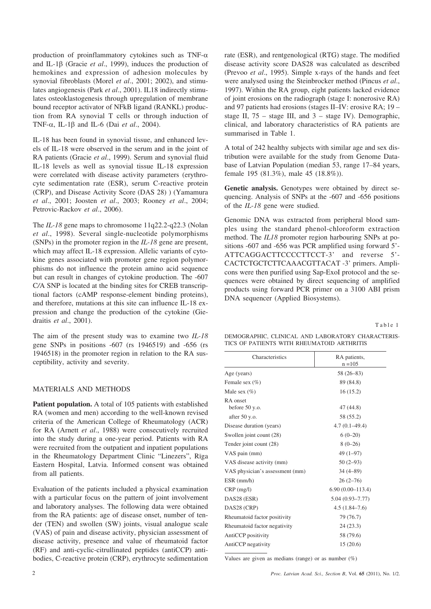production of proinflammatory cytokines such as TNF- $\alpha$ and IL-1 $\beta$  (Gracie *et al.*, 1999), induces the production of hemokines and expression of adhesion molecules by synovial fibroblasts (Morel *et al*., 2001; 2002), and stimulates angiogenesis (Park *et al*., 2001). IL18 indirectly stimulates osteoklastogenesis through upregulation of membrane bound receptor activator of NFkB ligand (RANKL) production from RA synovial T cells or through induction of TNF- $\alpha$ , IL-1 $\beta$  and IL-6 (Dai *et al.*, 2004).

IL-18 has been found in synovial tissue, and enhanced levels of IL-18 were observed in the serum and in the joint of RA patients (Gracie *et al*., 1999). Serum and synovial fluid IL-18 levels as well as synovial tissue IL-18 expression were correlated with disease activity parameters (erythrocyte sedimentation rate (ESR), serum C-reactive protein (CRP), and Disease Activity Score (DAS 28) ) (Yamamura *et al*., 2001; Joosten *et al*., 2003; Rooney *et al*., 2004; Petrovic-Rackov *et al*., 2006).

The *IL-18* gene maps to chromosome 11q22.2-q22.3 (Nolan *et al*., 1998). Several single-nucleotide polymorphisms (SNPs) in the promoter region in the *IL-18* gene are present, which may affect IL-18 expression. Allelic variants of cytokine genes associated with promoter gene region polymorphisms do not influence the protein amino acid sequence but can result in changes of cytokine production. The -607 C*/*A SNP is located at the binding sites for CREB transcriptional factors (cAMP response-element binding proteins), and therefore, mutations at this site can influence IL-18 expression and change the production of the cytokine (Giedraitis *et al*., 2001).

The aim of the present study was to examine two *IL-18* gene SNPs in positions -607 (rs 1946519) and -656 (rs 1946518) in the promoter region in relation to the RA susceptibility, activity and severity.

#### MATERIALS AND METHODS

Patient population. A total of 105 patients with established RA (women and men) according to the well-known revised criteria of the American College of Rheumatology (ACR) for RA (Arnett *et al*., 1988) were consecutively recruited into the study during a one-year period. Patients with RA were recruited from the outpatient and inpatient populations in the Rheumatology Department Clinic "Linezers", Rîga Eastern Hospital, Latvia. Informed consent was obtained from all patients.

Evaluation of the patients included a physical examination with a particular focus on the pattern of joint involvement and laboratory analyses. The following data were obtained from the RA patients: age of disease onset, number of tender (TEN) and swollen (SW) joints, visual analogue scale (VAS) of pain and disease activity, physician assessment of disease activity, presence and value of rheumatoid factor (RF) and anti-cyclic-citrullinated peptides (antiCCP) antibodies, C-reactive protein (CRP), erythrocyte sedimentation

rate (ESR), and rentgenological (RTG) stage. The modified disease activity score DAS28 was calculated as described (Prevoo *et al*., 1995). Simple x-rays of the hands and feet were analysed using the Steinbrocker method (Pincus *et al*., 1997). Within the RA group, eight patients lacked evidence of joint erosions on the radiograph (stage I: nonerosive RA) and 97 patients had erosions (stages II–IV: erosive RA; 19 – stage II,  $75$  – stage III, and  $3$  – stage IV). Demographic, clinical, and laboratory characteristics of RA patients are summarised in Table 1.

A total of 242 healthy subjects with similar age and sex distribution were available for the study from Genome Database of Latvian Population (median 53, range 17–84 years, female 195 (81.3%), male 45 (18.8%)).

**Genetic analysis.** Genotypes were obtained by direct sequencing. Analysis of SNPs at the -607 and -656 positions of the *IL-18* gene were studied.

Genomic DNA was extracted from peripheral blood samples using the standard phenol-chloroform extraction method. The *IL18* promoter region harbouring SNPs at positions -607 and -656 was PCR amplified using forward 5'- ATTCAGGACTTCCCCTTCCT-3' and reverse 5'- CACTCTGCTCTTCAAACGTTACAT -3' primers. Amplicons were then purified using Sap-ExoI protocol and the sequences were obtained by direct sequencing of amplified products using forward PCR primer on a 3100 ABI prism DNA sequencer (Applied Biosystems).

Table 1

DEMOGRAPHIC, CLINICAL AND LABORATORY CHARACTERIS-TICS OF PATIENTS WITH RHEUMATOID ARTHRITIS

| Characteristics                 | RA patients,<br>$n = 105$ |  |  |
|---------------------------------|---------------------------|--|--|
| Age (years)                     | $58(26-83)$               |  |  |
| Female sex $(\% )$              | 89 (84.8)                 |  |  |
| Male sex $(\% )$                | 16(15.2)                  |  |  |
| RA onset                        |                           |  |  |
| before 50 y.o.                  | 47 (44.8)                 |  |  |
| after 50 y.o.                   | 58 (55.2)                 |  |  |
| Disease duration (years)        | $4.7(0.1 - 49.4)$         |  |  |
| Swollen joint count (28)        | $6(0-20)$                 |  |  |
| Tender joint count (28)         | $8(0-26)$                 |  |  |
| VAS pain (mm)                   | $49(1-97)$                |  |  |
| VAS disease activity (mm)       | $50(2-93)$                |  |  |
| VAS physician's assessment (mm) | $34(4 - 89)$              |  |  |
| $ESR$ (mm/h)                    | $26(2 - 76)$              |  |  |
| $CRP$ (mg/l)                    | $6.90(0.00-113.4)$        |  |  |
| DAS28 (ESR)                     | $5.04(0.93 - 7.77)$       |  |  |
| DAS28 (CRP)                     | $4.5(1.84 - 7.6)$         |  |  |
| Rheumatoid factor positivity    | 79 (76.7)                 |  |  |
| Rheumatoid factor negativity    | 24(23.3)                  |  |  |
| AntiCCP positivity              | 58 (79.6)                 |  |  |
| AntiCCP negativity              | 15(20.6)                  |  |  |

Values are given as medians (range) or as number  $(\%)$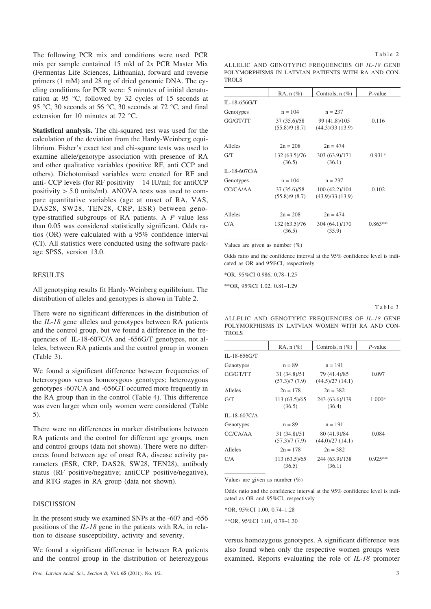The following PCR mix and conditions were used. PCR mix per sample contained 15 mkl of 2x PCR Master Mix (Fermentas Life Sciences, Lithuania), forward and reverse primers (1 mM) and 28 ng of dried genomic DNA. The cycling conditions for PCR were: 5 minutes of initial denaturation at 95 °C, followed by 32 cycles of 15 seconds at 95 °C, 30 seconds at 56 °C, 30 seconds at 72 °C, and final extension for 10 minutes at 72 °C.

**Statistical analysis.** The chi-squared test was used for the calculation of the deviation from the Hardy-Weinberg equilibrium. Fisher's exact test and chi-square tests was used to examine allele/genotype association with presence of RA and other qualitative variables (positive RF, anti CCP and others). Dichotomised variables were created for RF and anti- CCP levels (for RF positivity 14 IU/ml; for antiCCP positivity > 5.0 units/ml). ANOVA tests was used to compare quantitative variables (age at onset of RA, VAS, DAS28, SW28, TEN28, CRP, ESR) between genotype-stratified subgroups of RA patients. A *P* value less than 0.05 was considered statistically significant. Odds ratios (OR) were calculated with a 95% confidence interval (CI). All statistics were conducted using the software package SPSS, version 13.0.

## RESULTS

All genotyping results fit Hardy-Weinberg equilibrium. The distribution of alleles and genotypes is shown in Table 2.

There were no significant differences in the distribution of the *IL-18* gene alleles and genotypes between RA patients and the control group, but we found a difference in the frequencies of IL-18-607C/A and -656G/T genotypes, not alleles, between RA patients and the control group in women (Table 3).

We found a significant difference between frequencies of heterozygous versus homozygous genotypes; heterozygous genotypes -607CA and -656GT occurred more frequently in the RA group than in the control (Table 4). This difference was even larger when only women were considered (Table 5).

There were no differences in marker distributions between RA patients and the control for different age groups, men and control groups (data not shown). There were no differences found between age of onset RA, disease activity parameters (ESR, CRP, DAS28, SW28, TEN28), antibody status (RF positive/negative; antiCCP positive/negative), and RTG stages in RA group (data not shown).

## **DISCUSSION**

In the present study we examined SNPs at the -607 and -656 positions of the *IL-18* gene in the patients with RA, in relation to disease susceptibility, activity and severity.

We found a significant difference in between RA patients and the control group in the distribution of heterozygous ALLELIC AND GENOTYPIC FREQUENCIES OF *IL-18* GENE POLYMORPHISMS IN LATVIAN PATIENTS WITH RA AND CON-TROLS

|              | $RA$ , n $(\%)$               | Controls, $n$ $(\%)$              | $P$ -value |
|--------------|-------------------------------|-----------------------------------|------------|
| IL-18-656G/T |                               |                                   |            |
| Genotypes    | $n = 104$                     | $n = 237$                         |            |
| GG/GT/TT     | 37 (35.6)/58<br>(55.8)/9(8.7) | 99 (41.8)/105<br>(44.3)/33(13.9)  | 0.116      |
| Alleles      | $2n = 208$                    | $2n = 474$                        |            |
| G/T          | 132 (63.5)/76<br>(36.5)       | 303 (63.9)/171<br>(36.1)          | $0.931*$   |
| IL-18-607C/A |                               |                                   |            |
| Genotypes    | $n = 104$                     | $n = 237$                         |            |
| CC/CA/AA     | 37 (35.6)/58<br>(55.8)/9(8.7) | 100 (42.2)/104<br>(43.9)/33(13.9) | 0.102      |
| Alleles      | $2n = 208$                    | $2n = 474$                        |            |
| C/A          | 132 (63.5)/76<br>(36.5)       | 304 (64.1)/170<br>(35.9)          | $0.863**$  |

Values are given as number (%)

Odds ratio and the confidence interval at the 95% confidence level is indicated as OR and 95%CI, respectively

\*OR, 95%CI 0.986, 0.78–1.25

\*\*OR, 95%CI 1.02, 0.81–1.29

ALLELIC AND GENOTYPIC FREQUENCIES OF *IL-18* GENE POLYMORPHISMS IN LATVIAN WOMEN WITH RA AND CON-TROLS

|              | $RA$ , $n$ $(\%)$             | Controls, $n$ (%)               | $P$ -value |
|--------------|-------------------------------|---------------------------------|------------|
| IL-18-656G/T |                               |                                 |            |
| Genotypes    | $n = 89$                      | $n = 191$                       |            |
| GG/GT/TT     | 31 (34.8)/51<br>(57.3)/7(7.9) | 79 (41.4)/85<br>(44.5)/27(14.1) | 0.097      |
| Alleles      | $2n = 178$                    | $2n = 382$                      |            |
| G/T          | 113 (63.5)/65<br>(36.5)       | 243 (63.6)/139<br>(36.4)        | $1.000*$   |
| IL-18-607C/A |                               |                                 |            |
| Genotypes    | $n = 89$                      | $n = 191$                       |            |
| CC/CA/AA     | 31 (34.8)/51<br>(57.3)/7(7.9) | 80 (41.9)/84<br>(44.0)/27(14.1) | 0.084      |
| Alleles      | $2n = 178$                    | $2n = 382$                      |            |
| C/A          | 113 (63.5)/65<br>(36.5)       | 244 (63.9)/138<br>(36.1)        | $0.925**$  |

Values are given as number (%)

Odds ratio and the confidence interval at the 95% confidence level is indicated as OR and 95%CI, respectively

\*OR, 95%CI 1.00, 0.74–1.28

\*\*OR, 95%CI 1.01, 0.79–1.30

versus homozygous genotypes. A significant difference was also found when only the respective women groups were examined. Reports evaluating the role of *IL-18* promoter

Table 3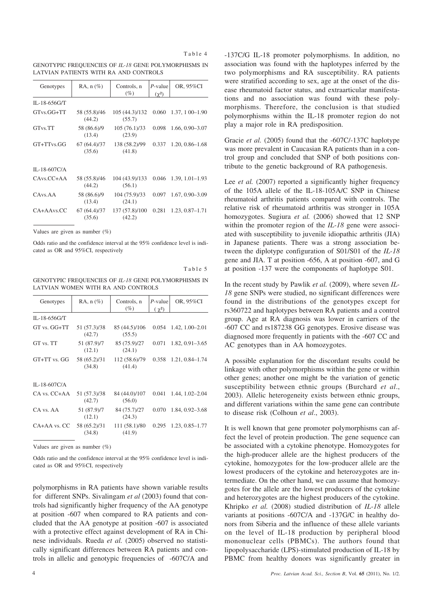| ٠<br>л<br>× |  |
|-------------|--|
|-------------|--|

Table 5

GENOTYPIC FREQUENCIES OF *IL-18* GENE POLYMORPHISMS IN LATVIAN PATIENTS WITH RA AND CONTROLS

| Genotypes         | $RA$ , n $(\%)$        | Controls, n              | P-value      | OR, 95%CI           |
|-------------------|------------------------|--------------------------|--------------|---------------------|
|                   |                        | (%)                      | $(\gamma^2)$ |                     |
| IL-18-656G/T      |                        |                          |              |                     |
| GTvs.GG+TT        | 58 (55.8)/46<br>(44.2) | 105 (44.3)/132<br>(55.7) | 0.060        | $1.37, 100 - 1.90$  |
| GTvs.TT           | 58 (86.6)/9<br>(13.4)  | 105 (76.1)/33<br>(23.9)  | 0.098        | $1.66, 0.90 - 3.07$ |
| GT+TTvs.GG        | 67 (64.4)/37<br>(35.6) | 138 (58.2)/99<br>(41.8)  | 0.337        | $1.20, 0.86 - 1.68$ |
| IL-18-607C/A      |                        |                          |              |                     |
| $C$ Avs. $C$ C+AA | 58 (55.8)/46<br>(44.2) | 104 (43.9)/133<br>(56.1) | 0.046        | $1.39, 1.01 - 1.93$ |
| $C$ Avs.AA        | 58 (86.6)/9<br>(13.4)  | 104 (75.9)/33<br>(24.1)  | 0.097        | $1.67, 0.90 - 3.09$ |
| $CA+AAvs.CC$      | 67(64.4)/37<br>(35.6)  | 137 (57.8)/100<br>(42.2) | 0.281        | $1.23, 0.87 - 1.71$ |

Values are given as number (%)

Odds ratio and the confidence interval at the 95% confidence level is indicated as OR and 95%CI, respectively

| GENOTYPIC FREQUENCIES OF IL-18 GENE POLYMORPHISMS IN |  |
|------------------------------------------------------|--|
| LATVIAN WOMEN WITH RA AND CONTROLS                   |  |

| Genotypes    | RA, $n$ $(\%)$         | Controls, n<br>(%)      | P-value<br>$(\gamma^2)$ | OR, 95%CI           |
|--------------|------------------------|-------------------------|-------------------------|---------------------|
| IL-18-656G/T |                        |                         |                         |                     |
| GT vs. GG+TT | 51 (57.3)/38<br>(42.7) | 85 (44.5)/106<br>(55.5) | 0.054                   | $1.42, 1.00 - 2.01$ |
| GT vs. TT    | 51 (87.9)/7<br>(12.1)  | 85 (75.9)/27<br>(24.1)  | 0.071                   | $1.82, 0.91 - 3.65$ |
| GT+TT vs. GG | 58 (65.2)/31<br>(34.8) | 112 (58.6)/79<br>(41.4) | 0.358                   | 1.21, 0.84–1.74     |
| IL-18-607C/A |                        |                         |                         |                     |
| CA vs. CC+AA | 51 (57.3)/38<br>(42.7) | 84 (44.0)/107<br>(56.0) | 0.041                   | 1.44, 1.02–2.04     |
| CA vs. AA    | 51 (87.9)/7<br>(12.1)  | 84 (75.7)/27<br>(24.3)  | 0.070                   | 1.84, 0.92–3.68     |
| CA+AA vs. CC | 58 (65.2)/31<br>(34.8) | 111 (58.1)/80<br>(41.9) | 0.295                   | 1.23, 0.85-1.77     |

Values are given as number (%)

Odds ratio and the confidence interval at the 95% confidence level is indicated as OR and 95%CI, respectively

polymorphisms in RA patients have shown variable results for different SNPs. Sivalingam *et al* (2003) found that controls had significantly higher frequency of the AA genotype at position -607 when compared to RA patients and concluded that the AA genotype at position -607 is associated with a protective effect against development of RA in Chinese individuals. Rueda *et al.* (2005) observed no statistically significant differences between RA patients and controls in allelic and genotypic frequencies of -607C/A and -137C/G IL-18 promoter polymorphisms. In addition, no association was found with the haplotypes inferred by the two polymorphisms and RA susceptibility. RA patients were stratified according to sex, age at the onset of the disease rheumatoid factor status, and extraarticular manifestations and no association was found with these polymorphisms. Therefore, the conclusion is that studied polymorphisms within the IL-18 promoter region do not play a major role in RA predisposition.

Gracie *et al.* (2005) found that the -607C/-137C haplotype was more prevalent in Caucasian RA patients than in a control group and concluded that SNP of both positions contribute to the genetic background of RA pathogenesis.

Lee *et al.* (2007) reported a significantly higher frequency of the 105A allele of the IL-18-105A/C SNP in Chinese rheumatoid arthritis patients compared with controls. The relative risk of rheumatoid arthritis was stronger in 105A homozygotes. Sugiura *et al.* (2006) showed that 12 SNP within the promoter region of the *IL-18* gene were associated with susceptibility to juvenile idiopathic arthritis (JIA) in Japanese patients. There was a strong association between the diplotype configuration of S01/S01 of the *IL-18* gene and JIA. T at position -656, A at position -607, and G at position -137 were the components of haplotype S01.

In the recent study by Pawlik *et al.* (2009), where seven *IL-18* gene SNPs were studied, no significant differences were found in the distributions of the genotypes except for rs360722 and haplotypes between RA patients and a control group. Age at RA diagnosis was lower in carriers of the -607 CC and rs187238 GG genotypes. Erosive disease was diagnosed more frequently in patients with the -607 CC and AC genotypes than in AA homozygotes.

A possible explanation for the discordant results could be linkage with other polymorphisms within the gene or within other genes; another one might be the variation of genetic susceptibility between ethnic groups (Burchard *et al*., 2003). Allelic heterogeneity exists between ethnic groups, and different variations within the same gene can contribute to disease risk (Colhoun *et al*., 2003).

It is well known that gene promoter polymorphisms can affect the level of protein production. The gene sequence can be associated with a cytokine phenotype. Homozygotes for the high-producer allele are the highest producers of the cytokine, homozygotes for the low-producer allele are the lowest producers of the cytokine and heterozygotes are intermediate. On the other hand, we can assume that homozygotes for the allele are the lowest producers of the cytokine and heterozygotes are the highest producers of the cytokine. Khripko *et al.* (2008) studied distribution of *IL-18* allele variants at positions -607C/A and -137G/C in healthy donors from Siberia and the influence of these allele variants on the level of IL-18 production by peripheral blood mononuclear cells (PBMCs). The authors found that lipopolysaccharide (LPS)-stimulated production of IL-18 by PBMC from healthy donors was significantly greater in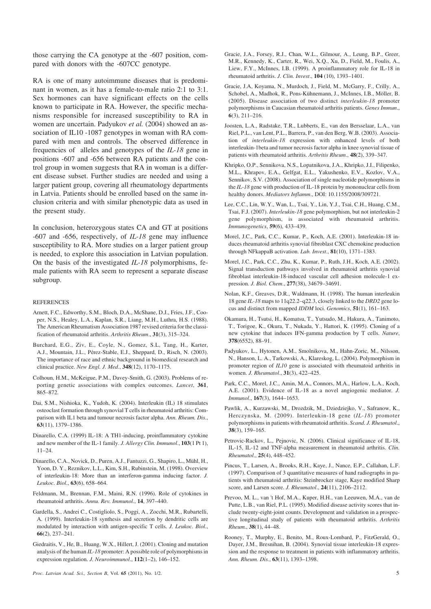those carrying the CA genotype at the -607 position, compared with donors with the -607CC genotype.

RA is one of many autoimmune diseases that is predominant in women, as it has a female-to-male ratio 2:1 to 3:1. Sex hormones can have significant effects on the cells known to participate in RA. However, the specific mechanisms responsible for increased susceptibility to RA in women are uncertain. Padyukov *et al.* (2004) showed an association of IL10 -1087 genotypes in woman with RA compared with men and controls. The observed difference in frequencies of alleles and genotypes of the *IL-18* gene in positions -607 and -656 between RA patients and the control group in women suggests that RA in woman is a different disease subset. Further studies are needed and using a larger patient group, covering all rheumatology departments in Latvia. Patients should be enrolled based on the same inclusion criteria and with similar phenotypic data as used in the present study.

In conclusion, heterozygous states CA and GT at positions -607 and -656, respectively, of *IL-18* gene may influence susceptibility to RA. More studies on a larger patient group is needed, to explore this association in Latvian population. On the basis of the investigated *IL-18* polymorphisms, female patients with RA seem to represent a separate disease subgroup.

#### **REFERENCES**

- Arnett, F.C., Edworthy, S.M., Bloch, D.A., McShane, D.J., Fries, J.F., Cooper, N.S., Healey, L.A., Kaplan, S.R., Liang, M.H., Luthra, H.S. (1988). The American Rheumatism Association 1987 revised criteria for the classification of rheumatoid arthritis. *Arthritis Rheum*., **31**(3), 315–324.
- Burchard, E.G., Ziv, E., Coyle, N., Gomez, S.L, Tang, H., Karter, A.J., Mountain, J.L., Pérez-Stable, E.J., Sheppard, D., Risch, N. (2003). The importance of race and ethnic background in biomedical research and clinical practice. *New Engl. J. Med*., **348**(12), 1170–1175.
- Colhoun, H.M., McKeigue, P.M., Davey-Smith, G. (2003). Problems of reporting genetic associations with complex outcomes. *Lancet*, **361**,  $865 - 872.$
- Dai, S.M., Nishioka, K., Yudoh, K. (2004). Interleukin (IL) 18 stimulates osteoclast formation through synovial T cells in rheumatoid arthritis: Comparison with IL1 beta and tumour necrosis factor alpha. *Ann. Rheum. Dis*., **63**(11), 1379–1386.
- Dinarello, C.A. (1999) IL-18: A TH1-inducing, proinflammatory cytokine and new member of the IL-1 family. *J. Allergy Clin. Immunol*., **103**(1 Pt 1), 11–24.
- Dinarello, C.A., Novick, D., Puren, A.J., Fantuzzi, G., Shapiro, L., Mühl, H., Yoon, D. Y., Reznikov, L.L., Kim, S.H., Rubinstein, M. (1998). Overview of interleukin-18: More than an interferon-gamma inducing factor. *J. Leukoc. Biol*., **63**(6), 658–664.
- Feldmann, M., Brennan, F.M., Maini, R.N. (1996). Role of cytokines in rheumatoid arthritis. *Annu. Rev. Immunol*., **14**, 397–440.
- Gardella, S., Andrei C., Costigliolo, S., Poggi, A., Zocchi, M.R., Rubartelli, A. (1999). Interleukin-18 synthesis and secretion by dendritic cells are modulated by interaction with antigen-specific T cells. *J. Leukoc. Biol*., **66**(2), 237–241.
- Giedraitis, V., He, B., Huang, W.X., Hillert, J. (2001). Cloning and mutation analysis of the human *IL-18* promoter: A possible role of polymorphisms in expression regulation. *J. Neuroimmunol*., **112**(1–2), 146–152.
- Gracie, J.A., Forsey, R.J., Chan, W.L., Gilmour, A., Leung, B.P., Greer, M.R., Kennedy, K., Carter, R., Wei, X.Q., Xu, D., Field, M., Foulis, A., Liew, F.Y., McInnes, I.B. (1999). A proinflammatory role for IL-18 in rheumatoid arthritis. *J. Clin. Invest*., **104** (10), 1393–1401.
- Gracie, J.A, Koyama, N., Murdoch, J., Field, M., McGarry, F., Crilly, A., Schobel, A., Madhok, R., Pons-Kühnemann, J., McInnes, I.B., Möller, B. (2005). Disease association of two distinct *interleukin-18* promoter polymorphisms in Caucasian rheumatoid arthritis patients. *Genes Immun*., **6**(3), 211–216.
- Joosten, L.A., Radstake, T.R., Lubberts, E., van den Bersselaar, L.A., van Riel, P.L., van Lent, P.L., Barrera, P., van den Berg, W.B. (2003). Association of *interleukin-18* expression with enhanced levels of both interleukin-1beta and tumor necrosis factor alpha in knee synovial tissue of patients with rheumatoid arthritis. *Arthritis Rheum*., **48**(2), 339–347.
- Khripko, O.P., Sennikova, N.S., Lopatnikova, J.A., Khripko, J.I., Filipenko, M.L., Khrapov, E.A., Gelfgat, E.L., Yakushenko, E.V., Kozlov, V.A., Sennikov, S.V. (2008). Association of single nucleotide polymorphisms in the *IL-18* gene with production of IL-18 protein by mononuclear cells from healthy donors. *Mediators Inflamm*., DOI: 10.1155/2008/309721.
- Lee, C.C., Lin, W.Y., Wan, L., Tsai, Y., Lin, Y.J., Tsai, C.H., Huang, C.M., Tsai, F.J. (2007). *Interleukin-18* gene polymorphism, but not interleukin-2 gene polymorphism, is associated with rheumatoid arthritis. *Immunogenetics*, **59**(6), 433–439.
- Morel, J.C., Park, C.C., Kumar, P., Koch, A.E. (2001). Interleukin-18 induces rheumatoid arthritis synovial fibroblast CXC chemokine production through NFkappaB activation. *Lab. Invest*., **81**(10), 1371–1383.
- Morel, J.C., Park, C.C., Zhu, K., Kumar, P., Ruth, J.H., Koch, A.E. (2002). Signal transduction pathways involved in rheumatoid arthritis synovial fibroblast interleukin-18-induced vascular cell adhesion molecule-1 expression. *J. Biol. Chem*., **277**(38), 34679–34691.
- Nolan, K.F., Greaves, D.R., Waldmann, H. (1998). The human interleukin 18 gene *IL-18* maps to 11q22.2–q22.3, closely linked to the *DRD2* gene locus and distinct from mapped *IDDM* loci. *Genomics*, **51**(1), 161–163.
- Okamura, H., Tsutsi, H., Komatsu, T., Yutsudo, M., Hakura, A., Tanimoto, T., Torigoe, K., Okura, T., Nukada, Y., Hattori, K. (1995). Cloning of a new cytokine that induces IFN-gamma production by T cells. *Nature*, **378**(6552), 88–91.
- Padyukov, L., Hytonen, A.M., Smolnikova, M., Hahn-Zoric, M., Nilsson, N., Hanson, L. A., Tarkowski, A., Klareskog, L. (2004). Polymorphism in promoter region of *IL10* gene is associated with rheumatoid arthritis in women. *J. Rheumatol*., **31**(3), 422–425.
- Park, C.C., Morel, J.C., Amin, M.A., Connors, M.A., Harlow, L.A., Koch, A.E. (2001). Evidence of IL-18 as a novel angiogenic mediator. *J. Immunol*., **167**(3), 1644–1653.
- Pawlik, A., Kurzawski, M., Drozdzik, M., Dziedziejko, V., Safranow, K., Herczynska, M. (2009). Interleukin-18 gene (*IL-18*) promoter polymorphisms in patients with rheumatoid arthritis. *Scand. J. Rheumatol*., **38**(3), 159–165.
- Petrovic-Rackov, L., Pejnovic, N. (2006). Clinical significance of IL-18, IL-15, IL-12 and TNF-alpha measurement in rheumatoid arthritis. *Clin. Rheumatol*., **25**(4), 448–452.
- Pincus, T., Larsen, A., Brooks, R.H., Kaye, J., Nance, E.P., Callahan, L.F. (1997). Comparison of 3 quantitative measures of hand radiographs in patients with rheumatoid arthritis: Steinbrocker stage, Kaye modified Sharp score, and Larsen score. *J. Rheumatol*., **24**(11), 2106–2112.
- Prevoo, M. L., van 't Hof, M.A., Kuper, H.H., van Leeuwen, M.A., van de Putte, L.B., van Riel, P.L. (1995). Modified disease activity scores that include twenty-eight-joint counts. Development and validation in a prospective longitudinal study of patients with rheumatoid arthritis. *Arthritis Rheum.*, **38**(1), 44–48.
- Rooney, T., Murphy, E., Benito, M., Roux-Lombard, P., FitzGerald, O., Dayer, J.M., Bresnihan, B. (2004). Synovial tissue interleukin-18 expression and the response to treatment in patients with inflammatory arthritis. *Ann. Rheum. Dis.*, **63**(11), 1393–1398.